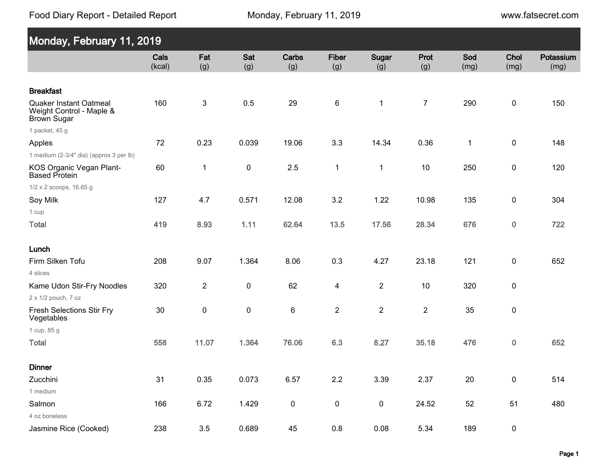Food Diary Report - Detailed Report

www.fatsecret.com

| Monday, February 11, 2019                                                       |                |                |            |              |                     |                |                  |              |              |                   |
|---------------------------------------------------------------------------------|----------------|----------------|------------|--------------|---------------------|----------------|------------------|--------------|--------------|-------------------|
|                                                                                 | Cals<br>(kcal) | Fat<br>(g)     | Sat<br>(g) | Carbs<br>(g) | <b>Fiber</b><br>(g) | Sugar<br>(g)   | Prot<br>(g)      | Sod<br>(mg)  | Chol<br>(mg) | Potassium<br>(mg) |
| <b>Breakfast</b>                                                                |                |                |            |              |                     |                |                  |              |              |                   |
| <b>Quaker Instant Oatmeal</b><br>Weight Control - Maple &<br><b>Brown Sugar</b> | 160            | 3              | 0.5        | 29           | $\,6$               | $\mathbf 1$    | $\boldsymbol{7}$ | 290          | $\pmb{0}$    | 150               |
| 1 packet, 45 g                                                                  |                |                |            |              |                     |                |                  |              |              |                   |
| Apples                                                                          | 72             | 0.23           | 0.039      | 19.06        | 3.3                 | 14.34          | 0.36             | $\mathbf{1}$ | $\pmb{0}$    | 148               |
| 1 medium (2-3/4" dia) (approx 3 per lb)                                         |                |                |            |              |                     |                |                  |              |              |                   |
| KOS Organic Vegan Plant-<br><b>Based Protein</b>                                | 60             | $\mathbf 1$    | 0          | 2.5          | $\mathbf 1$         | $\mathbf{1}$   | 10               | 250          | $\pmb{0}$    | 120               |
| 1/2 x 2 scoops, 16.65 g                                                         |                |                |            |              |                     |                |                  |              |              |                   |
| Soy Milk                                                                        | 127            | 4.7            | 0.571      | 12.08        | 3.2                 | 1.22           | 10.98            | 135          | $\pmb{0}$    | 304               |
| 1 cup                                                                           |                |                |            |              |                     |                |                  |              |              |                   |
| <b>Total</b>                                                                    | 419            | 8.93           | 1.11       | 62.64        | 13.5                | 17.56          | 28.34            | 676          | $\pmb{0}$    | 722               |
| Lunch                                                                           |                |                |            |              |                     |                |                  |              |              |                   |
| Firm Silken Tofu                                                                | 208            | 9.07           | 1.364      | 8.06         | 0.3                 | 4.27           | 23.18            | 121          | $\pmb{0}$    | 652               |
| 4 slices                                                                        |                |                |            |              |                     |                |                  |              |              |                   |
| Kame Udon Stir-Fry Noodles                                                      | 320            | $\overline{2}$ | $\pmb{0}$  | 62           | 4                   | $\overline{2}$ | 10               | 320          | $\pmb{0}$    |                   |
| 2 x 1/2 pouch, 7 oz                                                             |                |                |            |              |                     |                |                  |              |              |                   |
| Fresh Selections Stir Fry<br>Vegetables                                         | 30             | $\pmb{0}$      | $\pmb{0}$  | $\,6\,$      | $\overline{2}$      | $\overline{2}$ | $\overline{2}$   | 35           | $\pmb{0}$    |                   |
| 1 cup, 85 g                                                                     |                |                |            |              |                     |                |                  |              |              |                   |
| <b>Total</b>                                                                    | 558            | 11.07          | 1.364      | 76.06        | 6.3                 | 8.27           | 35.18            | 476          | $\pmb{0}$    | 652               |
| <b>Dinner</b>                                                                   |                |                |            |              |                     |                |                  |              |              |                   |
| Zucchini                                                                        | 31             | 0.35           | 0.073      | 6.57         | $2.2\,$             | 3.39           | 2.37             | $20\,$       | $\pmb{0}$    | 514               |
| 1 medium                                                                        |                |                |            |              |                     |                |                  |              |              |                   |
| Salmon                                                                          | 166            | 6.72           | 1.429      | $\pmb{0}$    | $\pmb{0}$           | $\pmb{0}$      | 24.52            | 52           | 51           | 480               |
| 4 oz boneless                                                                   |                |                |            |              |                     |                |                  |              |              |                   |
| Jasmine Rice (Cooked)                                                           | 238            | 3.5            | 0.689      | 45           | $0.8\,$             | 0.08           | 5.34             | 189          | $\pmb{0}$    |                   |